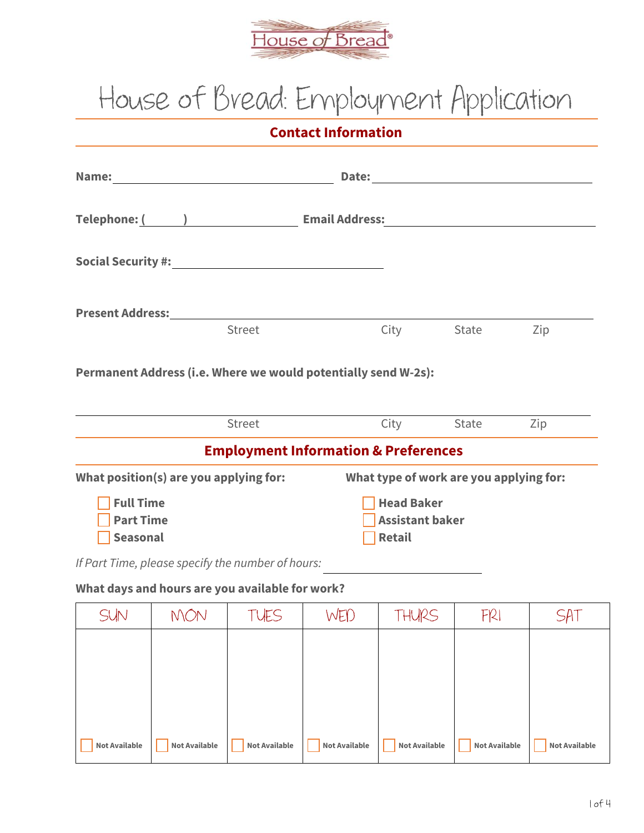

## **House of Bread: Employment Application**

**Contact Information**

| Name:                                                                                                          |               | Date:                 |      |       |     |
|----------------------------------------------------------------------------------------------------------------|---------------|-----------------------|------|-------|-----|
|                                                                                                                |               | <b>Email Address:</b> |      |       |     |
| Social Security #: New York 2014 19:00 19:00 19:00 19:00 19:00 19:00 19:00 19:00 19:00 19:00 19:00 19:00 19:00 |               |                       |      |       |     |
| <b>Present Address:</b>                                                                                        | <b>Street</b> |                       |      | State |     |
|                                                                                                                |               |                       | City |       | Zip |

**Permanent Address (i.e. Where we would potentially send W-2s):**

| <b>Street</b>                                   | City                                    | <b>State</b> | Zip |
|-------------------------------------------------|-----------------------------------------|--------------|-----|
| <b>Employment Information &amp; Preferences</b> |                                         |              |     |
| What position(s) are you applying for:          | What type of work are you applying for: |              |     |
| <b>Full Time</b>                                | <b>Head Baker</b>                       |              |     |
| <b>Part Time</b>                                | <b>Assistant baker</b>                  |              |     |
| Seasonal                                        | Retail                                  |              |     |

## **What days and hours are you available for work?**

| SUN                  | MON                  | TUES                 | WED                  | THURS                | F121                 | SAT                  |
|----------------------|----------------------|----------------------|----------------------|----------------------|----------------------|----------------------|
|                      |                      |                      |                      |                      |                      |                      |
|                      |                      |                      |                      |                      |                      |                      |
|                      |                      |                      |                      |                      |                      |                      |
|                      |                      |                      |                      |                      |                      |                      |
| <b>Not Available</b> | <b>Not Available</b> | <b>Not Available</b> | <b>Not Available</b> | <b>Not Available</b> | <b>Not Available</b> | <b>Not Available</b> |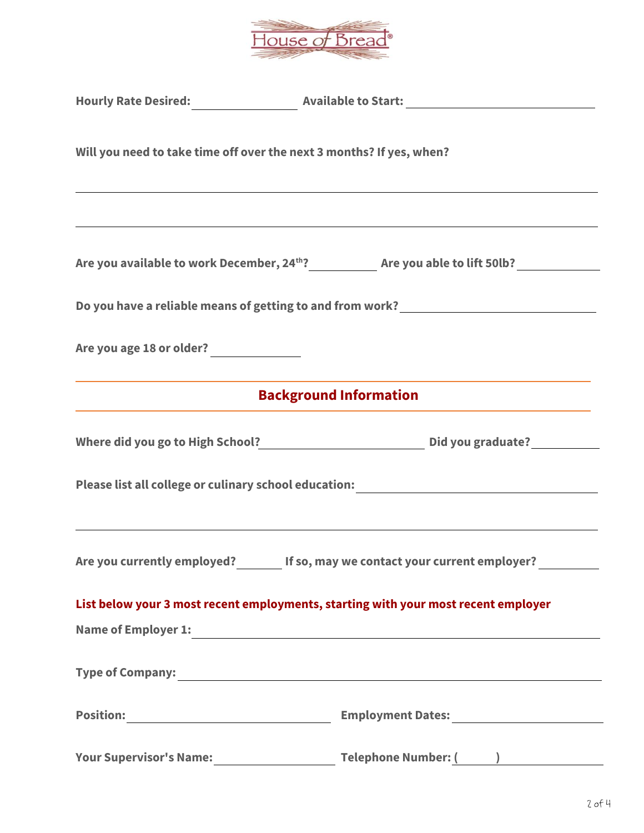

| Will you need to take time off over the next 3 months? If yes, when?                                             | ,我们也不会有什么。""我们的人,我们也不会有什么?""我们的人,我们也不会有什么?""我们的人,我们也不会有什么?""我们的人,我们也不会有什么?""我们的人                                                                                                                                                       |
|------------------------------------------------------------------------------------------------------------------|----------------------------------------------------------------------------------------------------------------------------------------------------------------------------------------------------------------------------------------|
|                                                                                                                  |                                                                                                                                                                                                                                        |
|                                                                                                                  | Do you have a reliable means of getting to and from work? ______________________                                                                                                                                                       |
| and the control of the control of the control of the control of the control of the control of the control of the | <u> 1989 - Johann Stoff, deutscher Stoff, der Stoff, der Stoff, der Stoff, der Stoff, der Stoff, der Stoff, der S</u>                                                                                                                  |
|                                                                                                                  | <b>Background Information</b>                                                                                                                                                                                                          |
|                                                                                                                  |                                                                                                                                                                                                                                        |
|                                                                                                                  | Please list all college or culinary school education: ___________________________                                                                                                                                                      |
|                                                                                                                  | ,我们也不会有什么。""我们的人,我们也不会有什么?""我们的人,我们也不会有什么?""我们的人,我们也不会有什么?""我们的人,我们也不会有什么?""我们的人<br>Are you currently employed? If so, may we contact your current employer?                                                                           |
|                                                                                                                  | List below your 3 most recent employments, starting with your most recent employer                                                                                                                                                     |
|                                                                                                                  | Name of Employer 1:<br><u>Letter and the contract of the contract of the contract of the contract of the contract of the contract of the contract of the contract of the contract of the contract of the contract of the contract </u> |
|                                                                                                                  |                                                                                                                                                                                                                                        |
|                                                                                                                  |                                                                                                                                                                                                                                        |
| <b>Your Supervisor's Name:</b>                                                                                   | Telephone Number: ( )                                                                                                                                                                                                                  |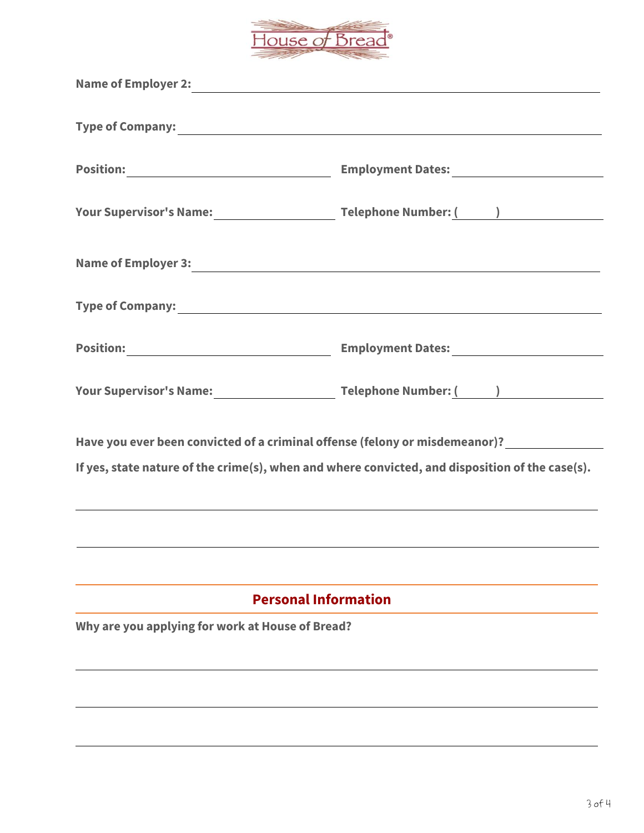

| Name of Employer 2:<br><u>Name of Employer 2:</u>                                                                                                                                                      |                                                                                  |  |  |  |
|--------------------------------------------------------------------------------------------------------------------------------------------------------------------------------------------------------|----------------------------------------------------------------------------------|--|--|--|
| Type of Company: 1988 Company: 1988                                                                                                                                                                    |                                                                                  |  |  |  |
|                                                                                                                                                                                                        |                                                                                  |  |  |  |
|                                                                                                                                                                                                        |                                                                                  |  |  |  |
|                                                                                                                                                                                                        |                                                                                  |  |  |  |
| Type of Company: 1999. Type of Company:                                                                                                                                                                |                                                                                  |  |  |  |
|                                                                                                                                                                                                        |                                                                                  |  |  |  |
|                                                                                                                                                                                                        |                                                                                  |  |  |  |
| Have you ever been convicted of a criminal offense (felony or misdemeanor)? _______________________<br>If yes, state nature of the crime(s), when and where convicted, and disposition of the case(s). |                                                                                  |  |  |  |
|                                                                                                                                                                                                        | ,我们也不会有什么。""我们的人,我们也不会有什么?""我们的人,我们也不会有什么?""我们的人,我们也不会有什么?""我们的人,我们也不会有什么?""我们的人 |  |  |  |
|                                                                                                                                                                                                        |                                                                                  |  |  |  |
| <b>Personal Information</b>                                                                                                                                                                            |                                                                                  |  |  |  |
| Why are you applying for work at House of Bread?                                                                                                                                                       |                                                                                  |  |  |  |
|                                                                                                                                                                                                        |                                                                                  |  |  |  |
|                                                                                                                                                                                                        |                                                                                  |  |  |  |
|                                                                                                                                                                                                        |                                                                                  |  |  |  |